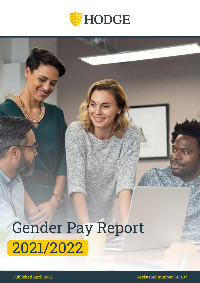

# Gender Pay Report 2021/2022

Published April 2022 **19 Fraud Published April 2022** 1999 12:30 Published April 2022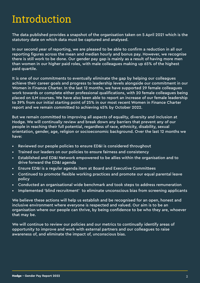### Introduction

The data published provides a snapshot of the organisation taken on 5 April 2021 which is the statutory date on which data must be captured and analysed.

In our second year of reporting, we are pleased to be able to confirm a reduction in all our reporting figures across the mean and median hourly and bonus pay. However, we recognise there is still work to be done. Our gender pay gap is mainly as a result of having more men than women in our higher paid roles, with male colleagues making up 65% of the highest paid quartile.

It is one of our commitments to eventually eliminate the gap by helping our colleagues achieve their career goals and progress to leadership levels alongside our commitment in our Women in Finance Charter. In the last 12 months, we have supported 29 female colleagues work towards or complete either professional qualifications, with 20 female colleagues being placed on ILM courses. We have also been able to report an increase of our female leadership to 39% from our initial starting point of 25% in our most recent Women in Finance Charter report and we remain committed to achieving 45% by October 2022.

But we remain committed to improving all aspects of equality, diversity and inclusion at Hodge. We will continually review and break down any barriers that prevent any of our people in reaching their full potential, regardless of race, ethnicity, disability, sexual orientation, gender, age, religion or socioeconomic background. Over the last 12 months we have:

- Reviewed our people policies to ensure ED&I is considered throughout
- Trained our leaders on our policies to ensure fairness and consistency
- Established and ED&I Network empowered to be allies within the organisation and to drive forward the ED&I agenda
- Ensure ED&I is a regular agenda item at Board and Executive Committees
- Continued to promote flexible working practices and promote our equal parental leave policy
- Conducted an organisational wide benchmark and took steps to address remuneration
- Implemented 'blind recruitment' to eliminate unconscious bias from screening applicants

We believe these actions will help us establish and be recognised for an open, honest and inclusive environment where everyone is respected and valued. Our aim is to be an organisation where our people can thrive, by being confidence to be who they are, whoever that may be.

We will continue to review our policies and our metrics to continually identify areas of opportunity to improve and work with external partners and our colleagues to raise awareness of, and eliminate the impact of, unconscious bias.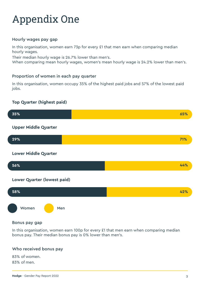## Appendix One

#### Hourly wages pay gap

In this organisation, women earn 73p for every £1 that men earn when comparing median hourly wages.

Their median hourly wage is 26.7% lower than men's.

When comparing mean hourly wages, women's mean hourly wage is 24.2% lower than men's.

#### Proportion of women in each pay quarter

In this organisation, women occupy 35% of the highest paid jobs and 57% of the lowest paid jobs.

#### **Top Quarter (highest paid)**



#### Bonus pay gap

In this organisation, women earn 100p for every £1 that men earn when comparing median bonus pay. Their median bonus pay is 0% lower than men's.

#### Who received bonus pay

83% of women. 83% of men.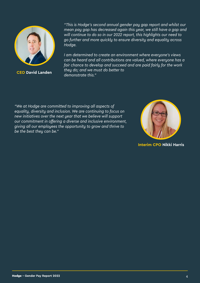

**CEO David Landen**

*"This is Hodge's second annual gender pay gap report and whilst our mean pay gap has decreased again this year, we still have a gap and will continue to do so in our 2022 report, this highlights our need to go further and more quickly to ensure diversity and equality across Hodge.* 

*I am determined to create an environment where everyone's views can be heard and all contributions are valued, where everyone has a fair chance to develop and succeed and are paid fairly for the work they do; and we must do better to demonstrate this."*

*"We at Hodge are committed to improving all aspects of equality, diversity and inclusion. We are continuing to focus on new initiatives over the next year that we believe will support our commitment in offering a diverse and inclusive environment, giving all our employees the opportunity to grow and thrive to be the best they can be."*



**Interim CPO Nikki Harris**